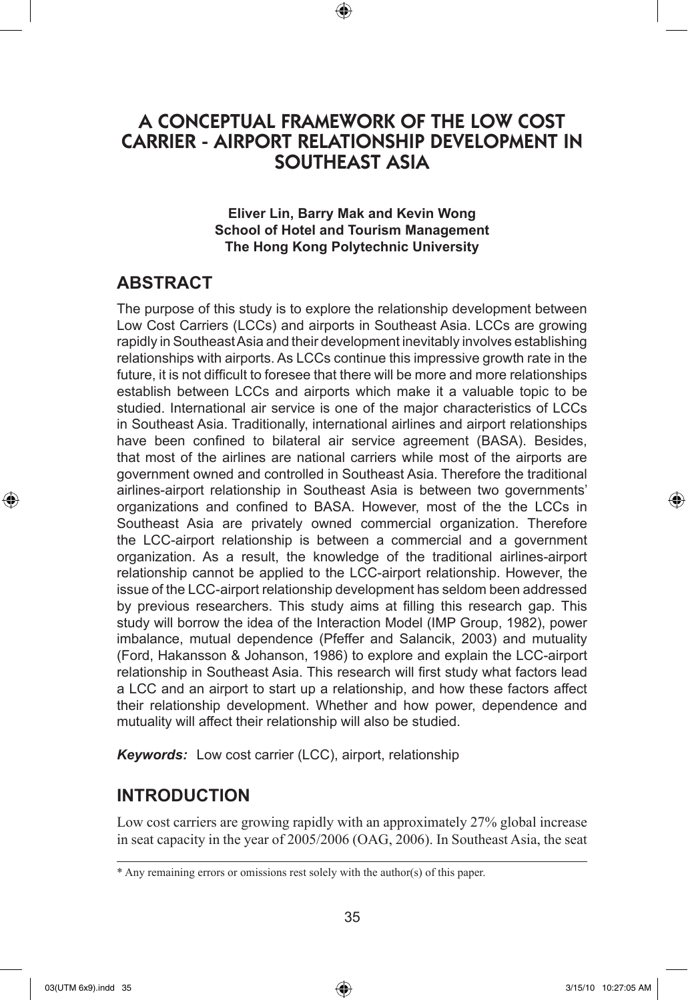# A CONCEPTUAL FRAMEWORK OF THE LOW COST CARRIER - AIRPORT RELATIONSHIP DEVELOPMENT IN SOUTHEAST ASIA

⊕

**Eliver Lin, Barry Mak and Kevin Wong School of Hotel and Tourism Management The Hong Kong Polytechnic University**

## **ABSTRACT**

The purpose of this study is to explore the relationship development between Low Cost Carriers (LCCs) and airports in Southeast Asia. LCCs are growing rapidly in Southeast Asia and their development inevitably involves establishing relationships with airports. As LCCs continue this impressive growth rate in the future, it is not difficult to foresee that there will be more and more relationships establish between LCCs and airports which make it a valuable topic to be studied. International air service is one of the major characteristics of LCCs in Southeast Asia. Traditionally, international airlines and airport relationships have been confined to bilateral air service agreement (BASA). Besides, that most of the airlines are national carriers while most of the airports are government owned and controlled in Southeast Asia. Therefore the traditional airlines-airport relationship in Southeast Asia is between two governments' organizations and confined to BASA. However, most of the the LCCs in Southeast Asia are privately owned commercial organization. Therefore the LCC-airport relationship is between a commercial and a government organization. As a result, the knowledge of the traditional airlines-airport relationship cannot be applied to the LCC-airport relationship. However, the issue of the LCC-airport relationship development has seldom been addressed by previous researchers. This study aims at filling this research gap. This study will borrow the idea of the Interaction Model (IMP Group, 1982), power imbalance, mutual dependence (Pfeffer and Salancik, 2003) and mutuality (Ford, Hakansson & Johanson, 1986) to explore and explain the LCC-airport relationship in Southeast Asia. This research will first study what factors lead a LCC and an airport to start up a relationship, and how these factors affect their relationship development. Whether and how power, dependence and mutuality will affect their relationship will also be studied.

*Keywords:* Low cost carrier (LCC), airport, relationship

## **INTRODUCTION**

Low cost carriers are growing rapidly with an approximately 27% global increase in seat capacity in the year of 2005/2006 (OAG, 2006). In Southeast Asia, the seat

⊕

♠

<sup>\*</sup> Any remaining errors or omissions rest solely with the author(s) of this paper.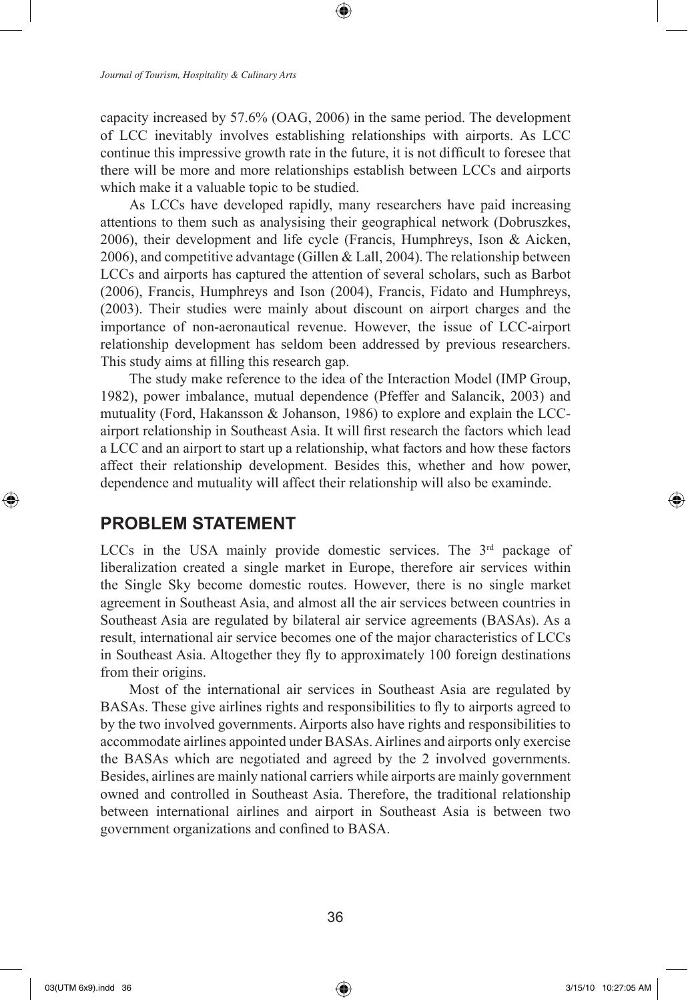capacity increased by 57.6% (OAG, 2006) in the same period. The development of LCC inevitably involves establishing relationships with airports. As LCC continue this impressive growth rate in the future, it is not difficult to foresee that there will be more and more relationships establish between LCCs and airports which make it a valuable topic to be studied.

⊕

As LCCs have developed rapidly, many researchers have paid increasing attentions to them such as analysising their geographical network (Dobruszkes, 2006), their development and life cycle (Francis, Humphreys, Ison & Aicken, 2006), and competitive advantage (Gillen & Lall, 2004). The relationship between LCCs and airports has captured the attention of several scholars, such as Barbot (2006), Francis, Humphreys and Ison (2004), Francis, Fidato and Humphreys, (2003). Their studies were mainly about discount on airport charges and the importance of non-aeronautical revenue. However, the issue of LCC-airport relationship development has seldom been addressed by previous researchers. This study aims at filling this research gap.

The study make reference to the idea of the Interaction Model (IMP Group, 1982), power imbalance, mutual dependence (Pfeffer and Salancik, 2003) and mutuality (Ford, Hakansson & Johanson, 1986) to explore and explain the LCCairport relationship in Southeast Asia. It will first research the factors which lead a LCC and an airport to start up a relationship, what factors and how these factors affect their relationship development. Besides this, whether and how power, dependence and mutuality will affect their relationship will also be examinde.

## **PROBLEM STATEMENT**

LCCs in the USA mainly provide domestic services. The  $3<sup>rd</sup>$  package of liberalization created a single market in Europe, therefore air services within the Single Sky become domestic routes. However, there is no single market agreement in Southeast Asia, and almost all the air services between countries in Southeast Asia are regulated by bilateral air service agreements (BASAs). As a result, international air service becomes one of the major characteristics of LCCs in Southeast Asia. Altogether they fly to approximately 100 foreign destinations from their origins.

Most of the international air services in Southeast Asia are regulated by BASAs. These give airlines rights and responsibilities to fly to airports agreed to by the two involved governments. Airports also have rights and responsibilities to accommodate airlines appointed under BASAs. Airlines and airports only exercise the BASAs which are negotiated and agreed by the 2 involved governments. Besides, airlines are mainly national carriers while airports are mainly government owned and controlled in Southeast Asia. Therefore, the traditional relationship between international airlines and airport in Southeast Asia is between two government organizations and confined to BASA.

⊕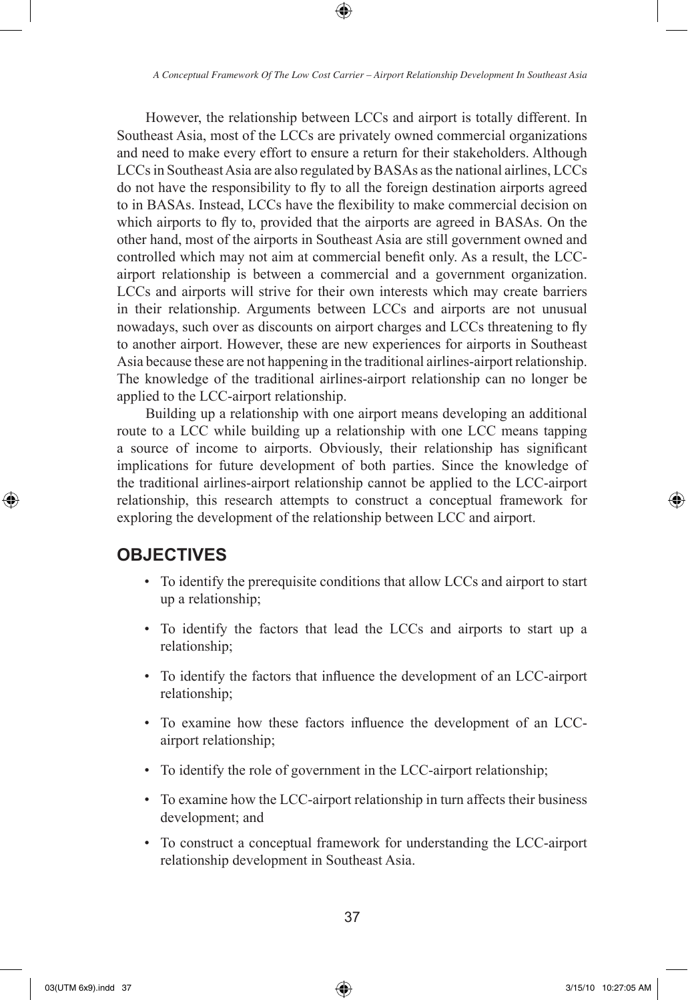⊕

However, the relationship between LCCs and airport is totally different. In Southeast Asia, most of the LCCs are privately owned commercial organizations and need to make every effort to ensure a return for their stakeholders. Although LCCs in Southeast Asia are also regulated by BASAs as the national airlines, LCCs do not have the responsibility to fly to all the foreign destination airports agreed to in BASAs. Instead, LCCs have the flexibility to make commercial decision on which airports to fly to, provided that the airports are agreed in BASAs. On the other hand, most of the airports in Southeast Asia are still government owned and controlled which may not aim at commercial benefit only. As a result, the LCCairport relationship is between a commercial and a government organization. LCCs and airports will strive for their own interests which may create barriers in their relationship. Arguments between LCCs and airports are not unusual nowadays, such over as discounts on airport charges and LCCs threatening to fly to another airport. However, these are new experiences for airports in Southeast Asia because these are not happening in the traditional airlines-airport relationship. The knowledge of the traditional airlines-airport relationship can no longer be applied to the LCC-airport relationship.

Building up a relationship with one airport means developing an additional route to a LCC while building up a relationship with one LCC means tapping a source of income to airports. Obviously, their relationship has significant implications for future development of both parties. Since the knowledge of the traditional airlines-airport relationship cannot be applied to the LCC-airport relationship, this research attempts to construct a conceptual framework for exploring the development of the relationship between LCC and airport.

### **OBJECTIVES**

- To identify the prerequisite conditions that allow LCCs and airport to start up a relationship;
- To identify the factors that lead the LCCs and airports to start up a relationship;
- To identify the factors that influence the development of an LCC-airport relationship;
- To examine how these factors influence the development of an LCCairport relationship;
- To identify the role of government in the LCC-airport relationship;
- To examine how the LCC-airport relationship in turn affects their business development; and
- To construct a conceptual framework for understanding the LCC-airport relationship development in Southeast Asia.

⊕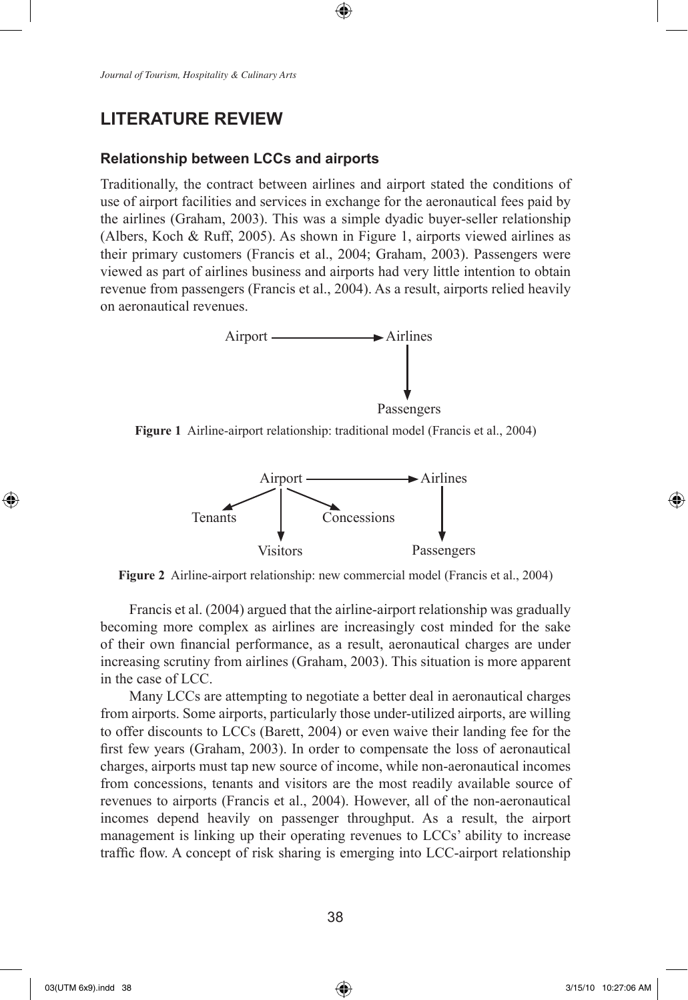## **LITERATURE REVIEW**

#### **Relationship between LCCs and airports**

Traditionally, the contract between airlines and airport stated the conditions of use of airport facilities and services in exchange for the aeronautical fees paid by the airlines (Graham, 2003). This was a simple dyadic buyer-seller relationship (Albers, Koch & Ruff, 2005). As shown in Figure 1, airports viewed airlines as their primary customers (Francis et al., 2004; Graham, 2003). Passengers were viewed as part of airlines business and airports had very little intention to obtain revenue from passengers (Francis et al., 2004). As a result, airports relied heavily on aeronautical revenues.

⊕



**Figure 1** Airline-airport relationship: traditional model (Francis et al., 2004)



**Figure 2** Airline-airport relationship: new commercial model (Francis et al., 2004)

Francis et al. (2004) argued that the airline-airport relationship was gradually becoming more complex as airlines are increasingly cost minded for the sake of their own financial performance, as a result, aeronautical charges are under increasing scrutiny from airlines (Graham, 2003). This situation is more apparent in the case of LCC.

Many LCCs are attempting to negotiate a better deal in aeronautical charges from airports. Some airports, particularly those under-utilized airports, are willing to offer discounts to LCCs (Barett, 2004) or even waive their landing fee for the first few years (Graham, 2003). In order to compensate the loss of aeronautical charges, airports must tap new source of income, while non-aeronautical incomes from concessions, tenants and visitors are the most readily available source of revenues to airports (Francis et al., 2004). However, all of the non-aeronautical incomes depend heavily on passenger throughput. As a result, the airport management is linking up their operating revenues to LCCs' ability to increase traffic flow. A concept of risk sharing is emerging into LCC-airport relationship

⊕

↔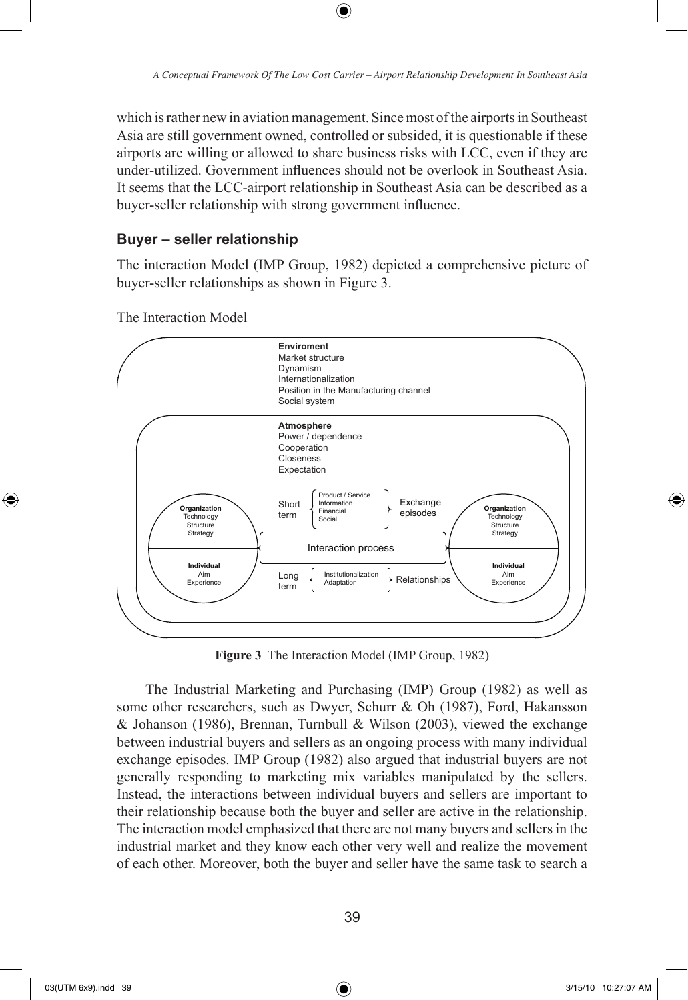which is rather new in aviation management. Since most of the airports in Southeast Asia are still government owned, controlled or subsided, it is questionable if these airports are willing or allowed to share business risks with LCC, even if they are under-utilized. Government influences should not be overlook in Southeast Asia. It seems that the LCC-airport relationship in Southeast Asia can be described as a buyer-seller relationship with strong government influence.

⊕

#### **Buyer – seller relationship**

The interaction Model (IMP Group, 1982) depicted a comprehensive picture of buyer-seller relationships as shown in Figure 3.



The Interaction Model

**Figure 3** The Interaction Model (IMP Group, 1982)

The Industrial Marketing and Purchasing (IMP) Group (1982) as well as some other researchers, such as Dwyer, Schurr & Oh (1987), Ford, Hakansson & Johanson (1986), Brennan, Turnbull & Wilson (2003), viewed the exchange between industrial buyers and sellers as an ongoing process with many individual exchange episodes. IMP Group (1982) also argued that industrial buyers are not generally responding to marketing mix variables manipulated by the sellers. Instead, the interactions between individual buyers and sellers are important to their relationship because both the buyer and seller are active in the relationship. The interaction model emphasized that there are not many buyers and sellers in the industrial market and they know each other very well and realize the movement of each other. Moreover, both the buyer and seller have the same task to search a

⊕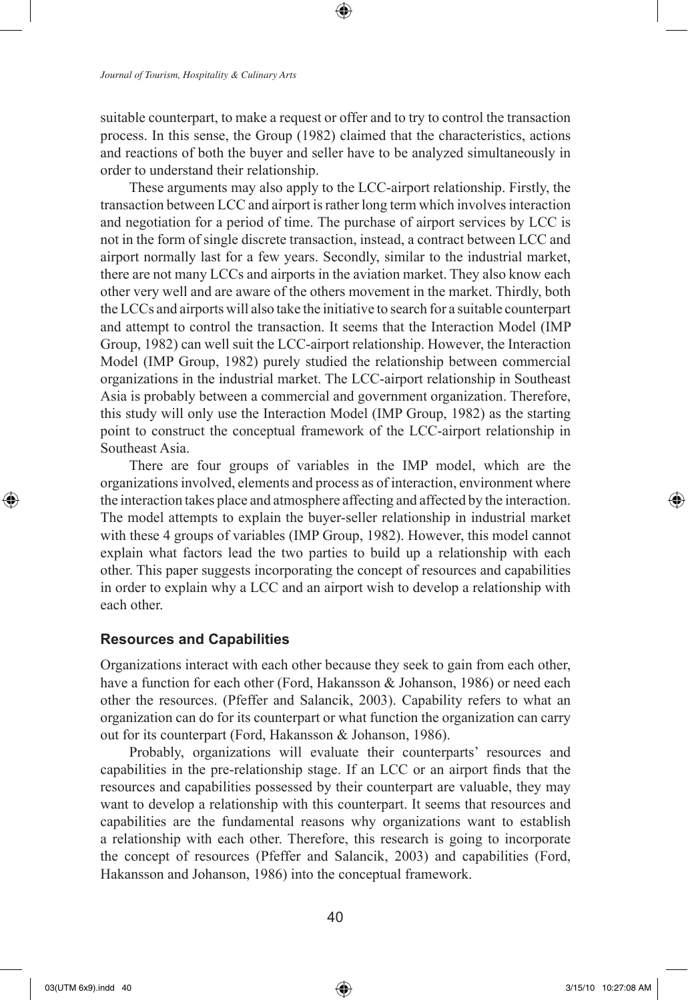suitable counterpart, to make a request or offer and to try to control the transaction process. In this sense, the Group (1982) claimed that the characteristics, actions and reactions of both the buyer and seller have to be analyzed simultaneously in order to understand their relationship.

These arguments may also apply to the LCC-airport relationship. Firstly, the transaction between LCC and airport is rather long term which involves interaction and negotiation for a period of time. The purchase of airport services by LCC is not in the form of single discrete transaction, instead, a contract between LCC and airport normally last for a few years. Secondly, similar to the industrial market, there are not many LCCs and airports in the aviation market. They also know each other very well and are aware of the others movement in the market. Thirdly, both the LCCs and airports will also take the initiative to search for a suitable counterpart and attempt to control the transaction. It seems that the Interaction Model (IMP Group, 1982) can well suit the LCC-airport relationship. However, the Interaction Model (IMP Group, 1982) purely studied the relationship between commercial organizations in the industrial market. The LCC-airport relationship in Southeast Asia is probably between a commercial and government organization. Therefore, this study will only use the Interaction Model (IMP Group, 1982) as the starting point to construct the conceptual framework of the LCC-airport relationship in Southeast Asia.

There are four groups of variables in the IMP model, which are the organizations involved, elements and process as of interaction, environment where the interaction takes place and atmosphere affecting and affected by the interaction. The model attempts to explain the buyer-seller relationship in industrial market with these 4 groups of variables (IMP Group, 1982). However, this model cannot explain what factors lead the two parties to build up a relationship with each other. This paper suggests incorporating the concept of resources and capabilities in order to explain why a LCC and an airport wish to develop a relationship with each other.

#### **Resources and Capabilities**

Organizations interact with each other because they seek to gain from each other, have a function for each other (Ford, Hakansson & Johanson, 1986) or need each other the resources. (Pfeffer and Salancik, 2003). Capability refers to what an organization can do for its counterpart or what function the organization can carry out for its counterpart (Ford, Hakansson & Johanson, 1986).

Probably, organizations will evaluate their counterparts' resources and capabilities in the pre-relationship stage. If an LCC or an airport finds that the resources and capabilities possessed by their counterpart are valuable, they may want to develop a relationship with this counterpart. It seems that resources and capabilities are the fundamental reasons why organizations want to establish a relationship with each other. Therefore, this research is going to incorporate the concept of resources (Pfeffer and Salancik, 2003) and capabilities (Ford, Hakansson and Johanson, 1986) into the conceptual framework.

⊕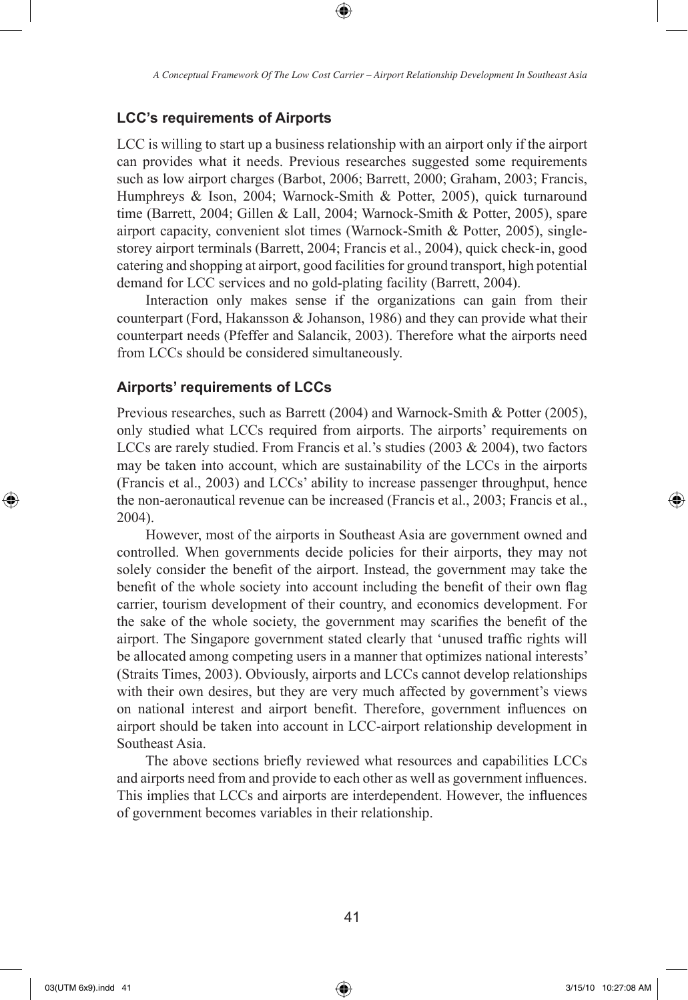⊕

#### **LCC's requirements of Airports**

LCC is willing to start up a business relationship with an airport only if the airport can provides what it needs. Previous researches suggested some requirements such as low airport charges (Barbot, 2006; Barrett, 2000; Graham, 2003; Francis, Humphreys & Ison, 2004; Warnock-Smith & Potter, 2005), quick turnaround time (Barrett, 2004; Gillen & Lall, 2004; Warnock-Smith & Potter, 2005), spare airport capacity, convenient slot times (Warnock-Smith & Potter, 2005), singlestorey airport terminals (Barrett, 2004; Francis et al., 2004), quick check-in, good catering and shopping at airport, good facilities for ground transport, high potential demand for LCC services and no gold-plating facility (Barrett, 2004).

Interaction only makes sense if the organizations can gain from their counterpart (Ford, Hakansson & Johanson, 1986) and they can provide what their counterpart needs (Pfeffer and Salancik, 2003). Therefore what the airports need from LCCs should be considered simultaneously.

#### **Airports' requirements of LCCs**

Previous researches, such as Barrett (2004) and Warnock-Smith & Potter (2005), only studied what LCCs required from airports. The airports' requirements on LCCs are rarely studied. From Francis et al.'s studies (2003 & 2004), two factors may be taken into account, which are sustainability of the LCCs in the airports (Francis et al., 2003) and LCCs' ability to increase passenger throughput, hence the non-aeronautical revenue can be increased (Francis et al., 2003; Francis et al., 2004).

However, most of the airports in Southeast Asia are government owned and controlled. When governments decide policies for their airports, they may not solely consider the benefit of the airport. Instead, the government may take the benefit of the whole society into account including the benefit of their own flag carrier, tourism development of their country, and economics development. For the sake of the whole society, the government may scarifies the benefit of the airport. The Singapore government stated clearly that 'unused traffic rights will be allocated among competing users in a manner that optimizes national interests' (Straits Times, 2003). Obviously, airports and LCCs cannot develop relationships with their own desires, but they are very much affected by government's views on national interest and airport benefit. Therefore, government influences on airport should be taken into account in LCC-airport relationship development in Southeast Asia.

The above sections briefly reviewed what resources and capabilities LCCs and airports need from and provide to each other as well as government influences. This implies that LCCs and airports are interdependent. However, the influences of government becomes variables in their relationship.

 $\bigoplus$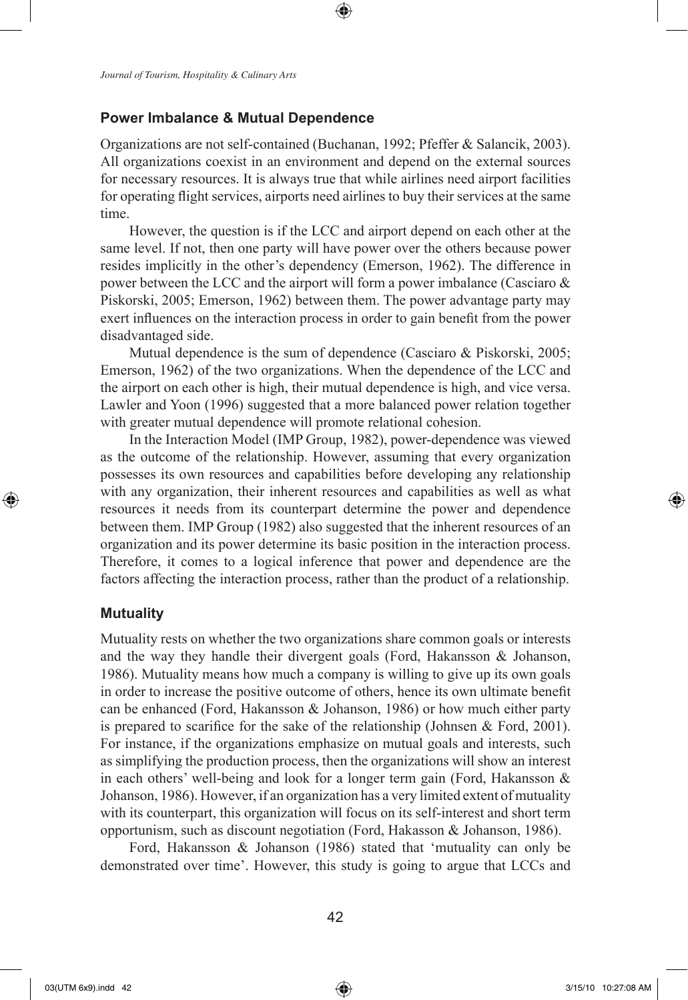#### **Power Imbalance & Mutual Dependence**

Organizations are not self-contained (Buchanan, 1992; Pfeffer & Salancik, 2003). All organizations coexist in an environment and depend on the external sources for necessary resources. It is always true that while airlines need airport facilities for operating flight services, airports need airlines to buy their services at the same time.

⊕

However, the question is if the LCC and airport depend on each other at the same level. If not, then one party will have power over the others because power resides implicitly in the other's dependency (Emerson, 1962). The difference in power between the LCC and the airport will form a power imbalance (Casciaro & Piskorski, 2005; Emerson, 1962) between them. The power advantage party may exert influences on the interaction process in order to gain benefit from the power disadvantaged side.

Mutual dependence is the sum of dependence (Casciaro & Piskorski, 2005; Emerson, 1962) of the two organizations. When the dependence of the LCC and the airport on each other is high, their mutual dependence is high, and vice versa. Lawler and Yoon (1996) suggested that a more balanced power relation together with greater mutual dependence will promote relational cohesion.

In the Interaction Model (IMP Group, 1982), power-dependence was viewed as the outcome of the relationship. However, assuming that every organization possesses its own resources and capabilities before developing any relationship with any organization, their inherent resources and capabilities as well as what resources it needs from its counterpart determine the power and dependence between them. IMP Group (1982) also suggested that the inherent resources of an organization and its power determine its basic position in the interaction process. Therefore, it comes to a logical inference that power and dependence are the factors affecting the interaction process, rather than the product of a relationship.

#### **Mutuality**

 $\bigoplus$ 

Mutuality rests on whether the two organizations share common goals or interests and the way they handle their divergent goals (Ford, Hakansson & Johanson, 1986). Mutuality means how much a company is willing to give up its own goals in order to increase the positive outcome of others, hence its own ultimate benefit can be enhanced (Ford, Hakansson  $&$  Johanson, 1986) or how much either party is prepared to scarifice for the sake of the relationship (Johnsen  $\&$  Ford, 2001). For instance, if the organizations emphasize on mutual goals and interests, such as simplifying the production process, then the organizations will show an interest in each others' well-being and look for a longer term gain (Ford, Hakansson & Johanson, 1986). However, if an organization has a very limited extent of mutuality with its counterpart, this organization will focus on its self-interest and short term opportunism, such as discount negotiation (Ford, Hakasson & Johanson, 1986).

Ford, Hakansson & Johanson (1986) stated that 'mutuality can only be demonstrated over time'. However, this study is going to argue that LCCs and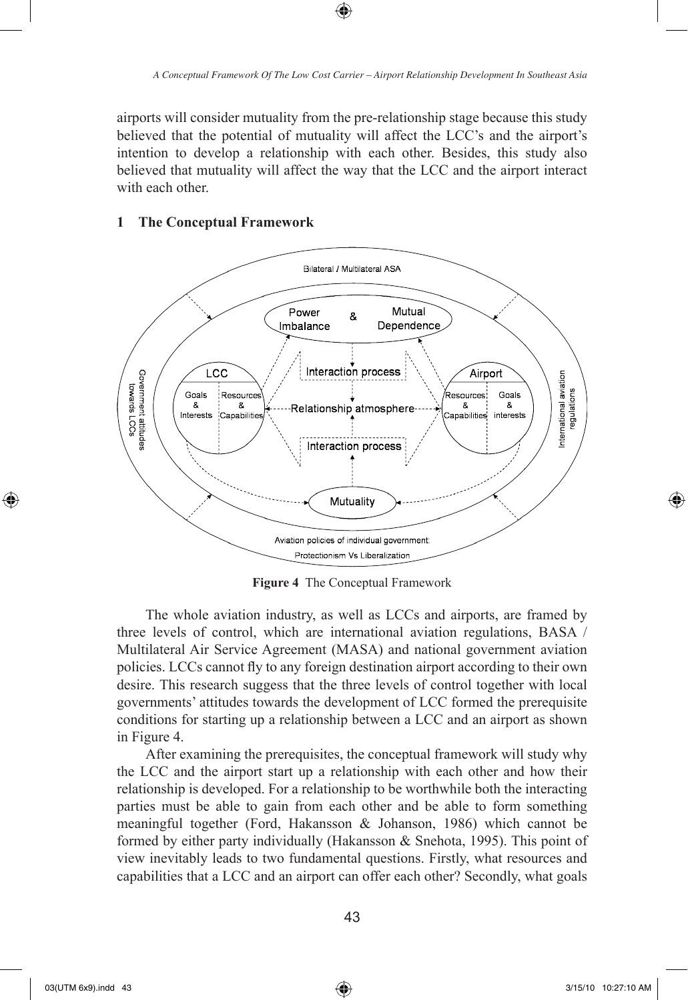airports will consider mutuality from the pre-relationship stage because this study believed that the potential of mutuality will affect the LCC's and the airport's intention to develop a relationship with each other. Besides, this study also believed that mutuality will affect the way that the LCC and the airport interact with each other.

⊕

#### **1 The Conceptual Framework**



**Figure 4** The Conceptual Framework

The whole aviation industry, as well as LCCs and airports, are framed by three levels of control, which are international aviation regulations, BASA / Multilateral Air Service Agreement (MASA) and national government aviation policies. LCCs cannot fly to any foreign destination airport according to their own desire. This research suggess that the three levels of control together with local governments' attitudes towards the development of LCC formed the prerequisite conditions for starting up a relationship between a LCC and an airport as shown in Figure 4.

After examining the prerequisites, the conceptual framework will study why the LCC and the airport start up a relationship with each other and how their relationship is developed. For a relationship to be worthwhile both the interacting parties must be able to gain from each other and be able to form something meaningful together (Ford, Hakansson & Johanson, 1986) which cannot be formed by either party individually (Hakansson & Snehota, 1995). This point of view inevitably leads to two fundamental questions. Firstly, what resources and capabilities that a LCC and an airport can offer each other? Secondly, what goals

⊕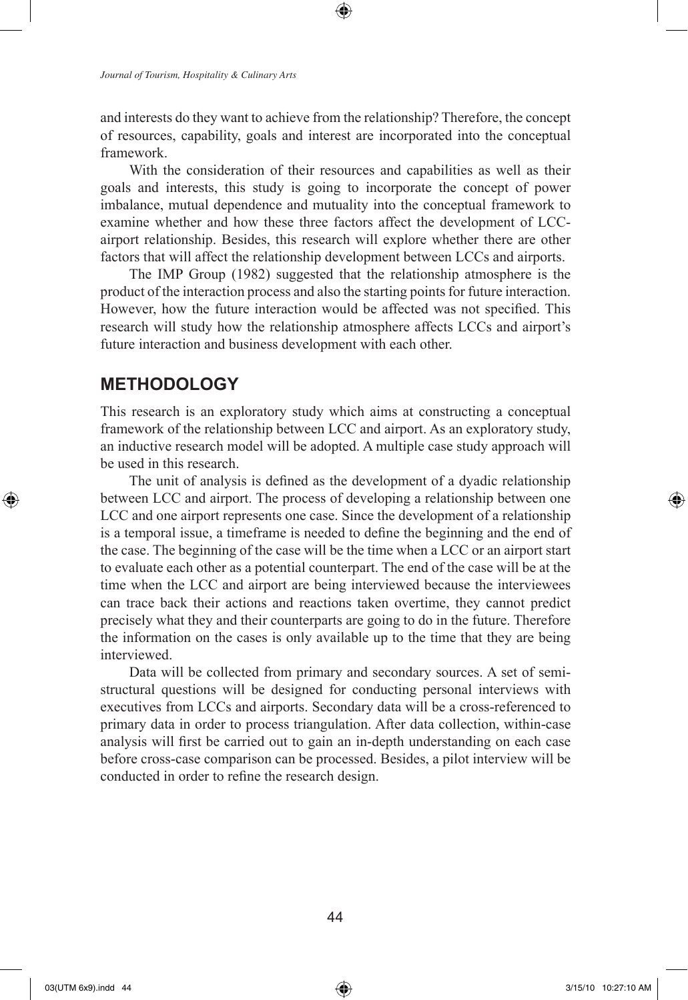*Journal of Tourism, Hospitality & Culinary Arts*

and interests do they want to achieve from the relationship? Therefore, the concept of resources, capability, goals and interest are incorporated into the conceptual framework.

⊕

With the consideration of their resources and capabilities as well as their goals and interests, this study is going to incorporate the concept of power imbalance, mutual dependence and mutuality into the conceptual framework to examine whether and how these three factors affect the development of LCCairport relationship. Besides, this research will explore whether there are other factors that will affect the relationship development between LCCs and airports.

The IMP Group (1982) suggested that the relationship atmosphere is the product of the interaction process and also the starting points for future interaction. However, how the future interaction would be affected was not specified. This research will study how the relationship atmosphere affects LCCs and airport's future interaction and business development with each other.

### **METHODOLOGY**

This research is an exploratory study which aims at constructing a conceptual framework of the relationship between LCC and airport. As an exploratory study, an inductive research model will be adopted. A multiple case study approach will be used in this research.

The unit of analysis is defined as the development of a dyadic relationship between LCC and airport. The process of developing a relationship between one LCC and one airport represents one case. Since the development of a relationship is a temporal issue, a timeframe is needed to define the beginning and the end of the case. The beginning of the case will be the time when a LCC or an airport start to evaluate each other as a potential counterpart. The end of the case will be at the time when the LCC and airport are being interviewed because the interviewees can trace back their actions and reactions taken overtime, they cannot predict precisely what they and their counterparts are going to do in the future. Therefore the information on the cases is only available up to the time that they are being interviewed.

Data will be collected from primary and secondary sources. A set of semistructural questions will be designed for conducting personal interviews with executives from LCCs and airports. Secondary data will be a cross-referenced to primary data in order to process triangulation. After data collection, within-case analysis will first be carried out to gain an in-depth understanding on each case before cross-case comparison can be processed. Besides, a pilot interview will be conducted in order to refine the research design.

⊕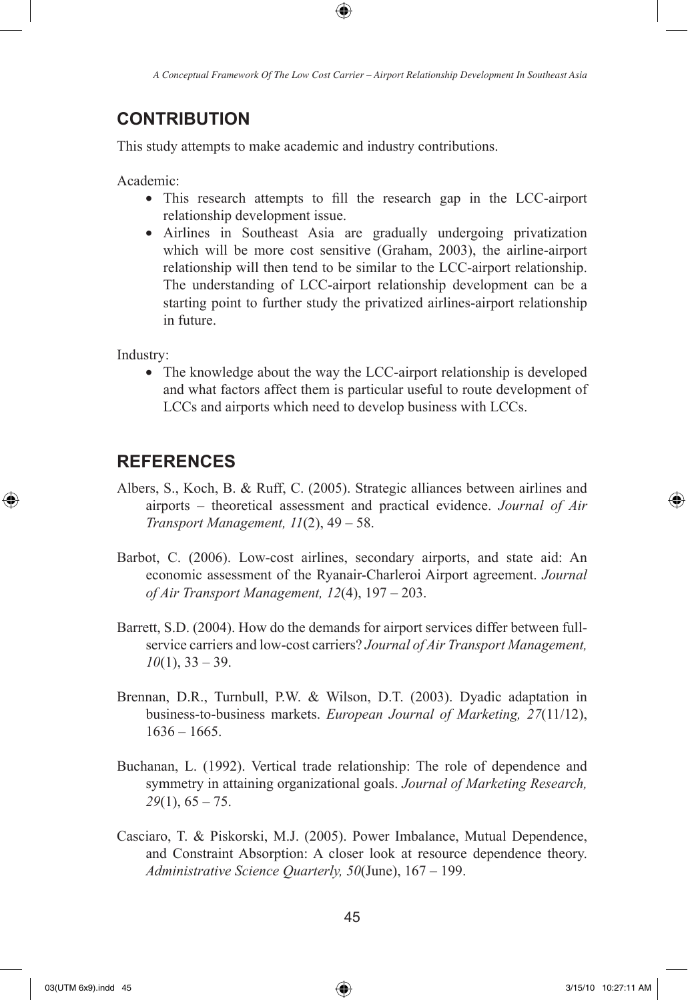⊕

## **CONTRIBUTION**

This study attempts to make academic and industry contributions.

Academic:

- This research attempts to fill the research gap in the LCC-airport relationship development issue.
- Airlines in Southeast Asia are gradually undergoing privatization which will be more cost sensitive (Graham, 2003), the airline-airport relationship will then tend to be similar to the LCC-airport relationship. The understanding of LCC-airport relationship development can be a starting point to further study the privatized airlines-airport relationship in future.

Industry:

⊕

• The knowledge about the way the LCC-airport relationship is developed and what factors affect them is particular useful to route development of LCCs and airports which need to develop business with LCCs.

## **REFERENCES**

- Albers, S., Koch, B. & Ruff, C. (2005). Strategic alliances between airlines and airports – theoretical assessment and practical evidence. *Journal of Air Transport Management, 11*(2), 49 – 58.
- Barbot, C. (2006). Low-cost airlines, secondary airports, and state aid: An economic assessment of the Ryanair-Charleroi Airport agreement. *Journal of Air Transport Management, 12*(4), 197 – 203.
- Barrett, S.D. (2004). How do the demands for airport services differ between fullservice carriers and low-cost carriers? *Journal of Air Transport Management, 10*(1), 33 – 39.
- Brennan, D.R., Turnbull, P.W. & Wilson, D.T. (2003). Dyadic adaptation in business-to-business markets. *European Journal of Marketing, 27*(11/12),  $1636 - 1665$ .
- Buchanan, L. (1992). Vertical trade relationship: The role of dependence and symmetry in attaining organizational goals. *Journal of Marketing Research, 29*(1), 65 – 75.
- Casciaro, T. & Piskorski, M.J. (2005). Power Imbalance, Mutual Dependence, and Constraint Absorption: A closer look at resource dependence theory. *Administrative Science Quarterly, 50*(June), 167 – 199.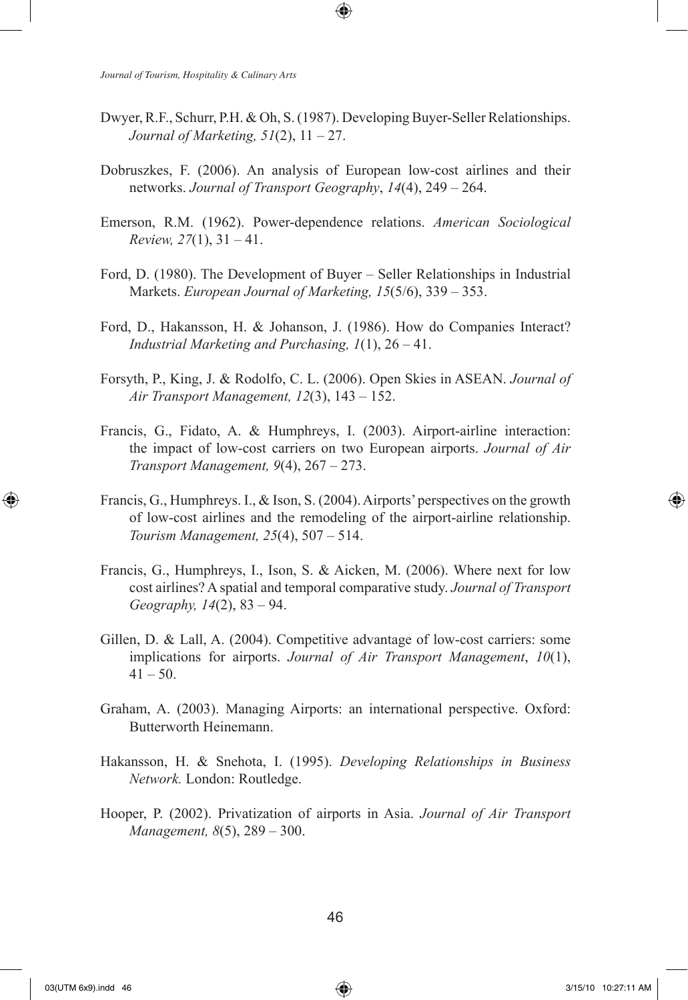Dwyer, R.F., Schurr, P.H. & Oh, S. (1987). Developing Buyer-Seller Relationships. *Journal of Marketing, 51*(2), 11 – 27.

↔

- Dobruszkes, F. (2006). An analysis of European low-cost airlines and their networks. *Journal of Transport Geography*, *14*(4), 249 – 264.
- Emerson, R.M. (1962). Power-dependence relations. *American Sociological Review, 27*(1), 31 – 41.
- Ford, D. (1980). The Development of Buyer Seller Relationships in Industrial Markets. *European Journal of Marketing, 15*(5/6), 339 – 353.
- Ford, D., Hakansson, H. & Johanson, J. (1986). How do Companies Interact? *Industrial Marketing and Purchasing, 1*(1), 26 – 41.
- Forsyth, P., King, J. & Rodolfo, C. L. (2006). Open Skies in ASEAN. *Journal of Air Transport Management, 12*(3), 143 – 152.
- Francis, G., Fidato, A. & Humphreys, I. (2003). Airport-airline interaction: the impact of low-cost carriers on two European airports. *Journal of Air Transport Management, 9*(4), 267 – 273.
- Francis, G., Humphreys. I., & Ison, S. (2004). Airports' perspectives on the growth of low-cost airlines and the remodeling of the airport-airline relationship. *Tourism Management, 25*(4), 507 – 514.
- Francis, G., Humphreys, I., Ison, S. & Aicken, M. (2006). Where next for low cost airlines? A spatial and temporal comparative study. *Journal of Transport Geography, 14*(2), 83 – 94.
- Gillen, D. & Lall, A. (2004). Competitive advantage of low-cost carriers: some implications for airports. *Journal of Air Transport Management*, *10*(1),  $41 - 50$ .
- Graham, A. (2003). Managing Airports: an international perspective. Oxford: Butterworth Heinemann.
- Hakansson, H. & Snehota, I. (1995). *Developing Relationships in Business Network.* London: Routledge.
- Hooper, P. (2002). Privatization of airports in Asia. *Journal of Air Transport Management, 8*(5), 289 – 300.

⊕

↔